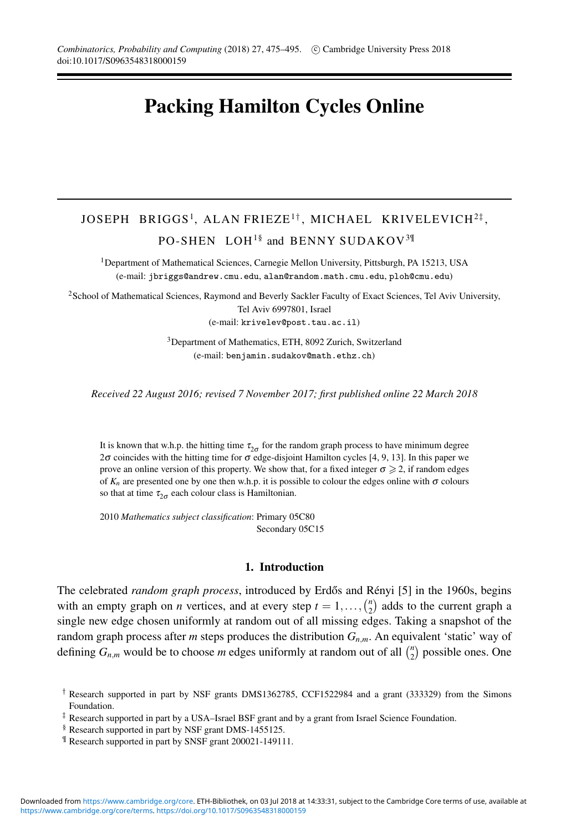# **Packing Hamilton Cycles Online**

## JOSEPH BRIGGS<sup>1</sup>, ALAN FRIEZE<sup>1†</sup>, MICHAEL KRIVELEVICH<sup>2‡</sup>, PO-SHEN LOH<sup>1§</sup> and BENNY SUDAKOV<sup>3¶</sup>

1Department of Mathematical Sciences, Carnegie Mellon University, Pittsburgh, PA 15213, USA (e-mail: jbriggs@andrew.cmu.edu, alan@random.math.cmu.edu, ploh@cmu.edu)

<sup>2</sup>School of Mathematical Sciences, Raymond and Beverly Sackler Faculty of Exact Sciences, Tel Aviv University, Tel Aviv 6997801, Israel

(e-mail: krivelev@post.tau.ac.il)

3Department of Mathematics, ETH, 8092 Zurich, Switzerland (e-mail: benjamin.sudakov@math.ethz.ch)

*Received 22 August 2016; revised 7 November 2017; first published online 22 March 2018*

It is known that w.h.p. the hitting time  $\tau_{2\sigma}$  for the random graph process to have minimum degree 2 $\sigma$  coincides with the hitting time for  $\sigma$  edge-disjoint Hamilton cycles [4, 9, 13]. In this paper we prove an online version of this property. We show that, for a fixed integer  $\sigma \geq 2$ , if random edges of  $K_n$  are presented one by one then w.h.p. it is possible to colour the edges online with  $\sigma$  colours so that at time  $\tau_{2\sigma}$  each colour class is Hamiltonian.

2010 *Mathematics subject classification*: Primary 05C80 Secondary 05C15

#### **1. Introduction**

The celebrated *random graph process*, introduced by Erdős and Rényi [5] in the 1960s, begins with an empty graph on *n* vertices, and at every step  $t = 1, ..., {n \choose 2}$  adds to the current graph a single new edge chosen uniformly at random out of all missing edges. Taking a snapshot of the random graph process after *m* steps produces the distribution *Gn*,*<sup>m</sup>*. An equivalent 'static' way of defining  $G_{n,m}$  would be to choose *m* edges uniformly at random out of all  $\binom{n}{2}$  possible ones. One

- § Research supported in part by NSF grant DMS-1455125.
- ¶ Research supported in part by SNSF grant 200021-149111.

<sup>†</sup> Research supported in part by NSF grants DMS1362785, CCF1522984 and a grant (333329) from the Simons Foundation.

<sup>‡</sup> Research supported in part by a USA–Israel BSF grant and by a grant from Israel Science Foundation.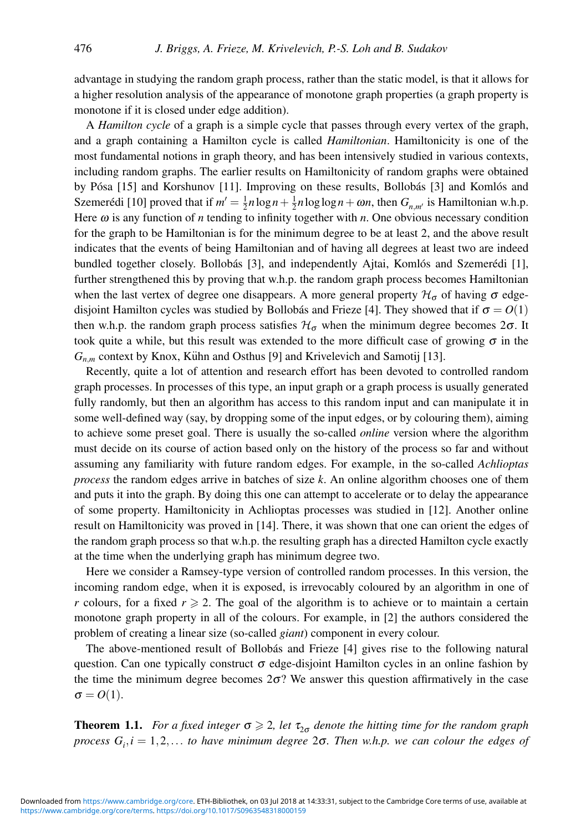advantage in studying the random graph process, rather than the static model, is that it allows for a higher resolution analysis of the appearance of monotone graph properties (a graph property is monotone if it is closed under edge addition).

A *Hamilton cycle* of a graph is a simple cycle that passes through every vertex of the graph, and a graph containing a Hamilton cycle is called *Hamiltonian*. Hamiltonicity is one of the most fundamental notions in graph theory, and has been intensively studied in various contexts, including random graphs. The earlier results on Hamiltonicity of random graphs were obtained by Pósa  $[15]$  and Korshunov  $[11]$ . Improving on these results, Bollobás  $[3]$  and Komlós and Szemerédi [10] proved that if  $m' = \frac{1}{2}n \log n + \frac{1}{2}n \log \log n + \omega n$ , then  $G_{n,m'}$  is Hamiltonian w.h.p. Here  $\omega$  is any function of *n* tending to infinity together with *n*. One obvious necessary condition for the graph to be Hamiltonian is for the minimum degree to be at least 2, and the above result indicates that the events of being Hamiltonian and of having all degrees at least two are indeed bundled together closely. Bollobás [3], and independently Ajtai, Komlós and Szemerédi [1], further strengthened this by proving that w.h.p. the random graph process becomes Hamiltonian when the last vertex of degree one disappears. A more general property  $\mathcal{H}_{\sigma}$  of having  $\sigma$  edgedisjoint Hamilton cycles was studied by Bollobás and Frieze [4]. They showed that if  $\sigma = O(1)$ then w.h.p. the random graph process satisfies  $\mathcal{H}_{\sigma}$  when the minimum degree becomes  $2\sigma$ . It took quite a while, but this result was extended to the more difficult case of growing  $\sigma$  in the  $G_{n,m}$  context by Knox, Kühn and Osthus [9] and Krivelevich and Samotij [13].

Recently, quite a lot of attention and research effort has been devoted to controlled random graph processes. In processes of this type, an input graph or a graph process is usually generated fully randomly, but then an algorithm has access to this random input and can manipulate it in some well-defined way (say, by dropping some of the input edges, or by colouring them), aiming to achieve some preset goal. There is usually the so-called *online* version where the algorithm must decide on its course of action based only on the history of the process so far and without assuming any familiarity with future random edges. For example, in the so-called *Achlioptas process* the random edges arrive in batches of size *k*. An online algorithm chooses one of them and puts it into the graph. By doing this one can attempt to accelerate or to delay the appearance of some property. Hamiltonicity in Achlioptas processes was studied in [12]. Another online result on Hamiltonicity was proved in [14]. There, it was shown that one can orient the edges of the random graph process so that w.h.p. the resulting graph has a directed Hamilton cycle exactly at the time when the underlying graph has minimum degree two.

Here we consider a Ramsey-type version of controlled random processes. In this version, the incoming random edge, when it is exposed, is irrevocably coloured by an algorithm in one of *r* colours, for a fixed  $r \ge 2$ . The goal of the algorithm is to achieve or to maintain a certain monotone graph property in all of the colours. For example, in [2] the authors considered the problem of creating a linear size (so-called *giant*) component in every colour.

The above-mentioned result of Bollobás and Frieze [4] gives rise to the following natural question. Can one typically construct  $\sigma$  edge-disjoint Hamilton cycles in an online fashion by the time the minimum degree becomes  $2\sigma$ ? We answer this question affirmatively in the case  $\sigma = O(1)$ .

**Theorem 1.1.** For a fixed integer  $\sigma \geq 2$ , let  $\tau_{2\sigma}$  denote the hitting time for the random graph *process Gi* ,*i* = 1,2,... *to have minimum degree* 2σ*. Then w.h.p. we can colour the edges of*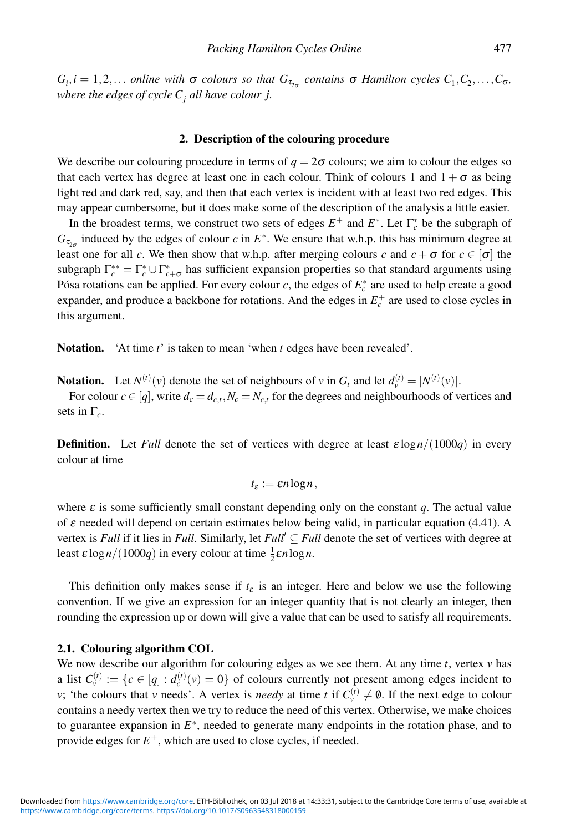$G_i$ ,  $i = 1, 2, \ldots$  *online with*  $\sigma$  *colours so that*  $G_{\tau_{2\sigma}}$  *contains*  $\sigma$  *Hamilton cycles*  $C_1, C_2, \ldots, C_{\sigma}$ *, where the edges of cycle*  $C_i$  *all have colour j.* 

#### **2. Description of the colouring procedure**

We describe our colouring procedure in terms of  $q = 2\sigma$  colours; we aim to colour the edges so that each vertex has degree at least one in each colour. Think of colours 1 and  $1 + \sigma$  as being light red and dark red, say, and then that each vertex is incident with at least two red edges. This may appear cumbersome, but it does make some of the description of the analysis a little easier.

In the broadest terms, we construct two sets of edges  $E^+$  and  $E^*$ . Let  $\Gamma_c^*$  be the subgraph of  $G_{\tau_{2n}}$  induced by the edges of colour *c* in  $E^*$ . We ensure that w.h.p. this has minimum degree at least one for all *c*. We then show that w.h.p. after merging colours *c* and  $c + \sigma$  for  $c \in [\sigma]$  the subgraph  $\Gamma_c^{**} = \Gamma_c^* \cup \Gamma_{c+\sigma}^*$  has sufficient expansion properties so that standard arguments using Pósa rotations can be applied. For every colour  $c$ , the edges of  $E_c^*$  are used to help create a good expander, and produce a backbone for rotations. And the edges in  $E_c^+$  are used to close cycles in this argument.

**Notation.** 'At time *t*' is taken to mean 'when *t* edges have been revealed'.

**Notation.** Let  $N^{(t)}(v)$  denote the set of neighbours of *v* in  $G_t$  and let  $d_v^{(t)} = |N^{(t)}(v)|$ .

For colour  $c \in [q]$ , write  $d_c = d_{c,t}$ ,  $N_c = N_{c,t}$  for the degrees and neighbourhoods of vertices and sets in Γ*c*.

**Definition.** Let *Full* denote the set of vertices with degree at least  $\epsilon \log n/(1000q)$  in every colour at time

$$
t_{\varepsilon}:=\varepsilon n\log n,
$$

where  $\varepsilon$  is some sufficiently small constant depending only on the constant *q*. The actual value of  $\varepsilon$  needed will depend on certain estimates below being valid, in particular equation (4.41). A vertex is *Full* if it lies in *Full*. Similarly, let *Full* ⊆ *Full* denote the set of vertices with degree at least  $\varepsilon \log n/(1000q)$  in every colour at time  $\frac{1}{2}\varepsilon n \log n$ .

This definition only makes sense if  $t<sub>\varepsilon</sub>$  is an integer. Here and below we use the following convention. If we give an expression for an integer quantity that is not clearly an integer, then rounding the expression up or down will give a value that can be used to satisfy all requirements.

#### **2.1. Colouring algorithm COL**

We now describe our algorithm for colouring edges as we see them. At any time  $t$ , vertex  $v$  has a list  $C_v^{(t)} := \{c \in [q] : d_c^{(t)}(v) = 0\}$  of colours currently not present among edges incident to *v*; 'the colours that *v* needs'. A vertex is *needy* at time *t* if  $C_v^{(t)} \neq \emptyset$ . If the next edge to colour contains a needy vertex then we try to reduce the need of this vertex. Otherwise, we make choices to guarantee expansion in *E*<sup>∗</sup>, needed to generate many endpoints in the rotation phase, and to provide edges for  $E^+$ , which are used to close cycles, if needed.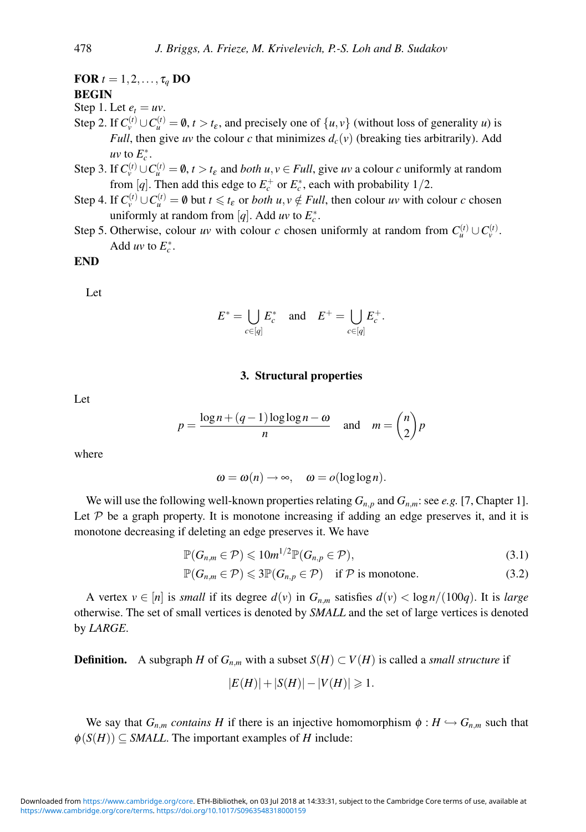**FOR**  $t = 1, 2, \ldots, \tau_q$  **DO BEGIN**

Step 1. Let  $e_t = uv$ .

- Step 2. If  $C_v^{(t)} \cup C_u^{(t)} = \emptyset$ ,  $t > t_{\varepsilon}$ , and precisely one of  $\{u, v\}$  (without loss of generality *u*) is *Full*, then give *uv* the colour *c* that minimizes  $d_c(v)$  (breaking ties arbitrarily). Add *uv* to  $E_c^*$ .
- Step 3. If  $C_v^{(t)} \cup C_u^{(t)} = \emptyset$ ,  $t > t_\varepsilon$  and *both u*,  $v \in Full$ , give *uv* a colour *c* uniformly at random from [q]. Then add this edge to  $E_c^+$  or  $E_c^*$ , each with probability 1/2.
- Step 4. If  $C_v^{(t)} \cup C_u^{(t)} = \emptyset$  but  $t \le t_\varepsilon$  or *both*  $u, v \notin Full$ , then colour  $uv$  with colour  $c$  chosen uniformly at random from [ $q$ ]. Add  $uv$  to  $E_c^*$ .
- Step 5. Otherwise, colour *uv* with colour *c* chosen uniformly at random from  $C_u^{(t)} \cup C_v^{(t)}$ . Add *uv* to  $E_c^*$ .

### **END**

Let

$$
E^* = \bigcup_{c \in [q]} E^*_c \quad \text{and} \quad E^+ = \bigcup_{c \in [q]} E^+_c.
$$

#### **3. Structural properties**

Let

$$
p = \frac{\log n + (q-1)\log \log n - \omega}{n} \quad \text{and} \quad m = \binom{n}{2}p
$$

where

$$
\omega = \omega(n) \to \infty, \quad \omega = o(\log \log n).
$$

We will use the following well-known properties relating  $G_{n,p}$  and  $G_{n,m}$ : see *e.g.* [7, Chapter 1]. Let  $P$  be a graph property. It is monotone increasing if adding an edge preserves it, and it is monotone decreasing if deleting an edge preserves it. We have

$$
\mathbb{P}(G_{n,m}\in\mathcal{P})\leqslant 10m^{1/2}\mathbb{P}(G_{n,p}\in\mathcal{P}),\tag{3.1}
$$

$$
\mathbb{P}(G_{n,m}\in\mathcal{P})\leqslant 3\mathbb{P}(G_{n,p}\in\mathcal{P})\quad\text{if }\mathcal{P}\text{ is monotone.}\tag{3.2}
$$

A vertex  $v \in [n]$  is *small* if its degree  $d(v)$  in  $G_{n,m}$  satisfies  $d(v) < \frac{\log n}{100q}$ . It is *large* otherwise. The set of small vertices is denoted by *SMALL* and the set of large vertices is denoted by *LARGE*.

**Definition.** A subgraph *H* of  $G_{n,m}$  with a subset  $S(H) \subset V(H)$  is called a *small structure* if

$$
|E(H)| + |S(H)| - |V(H)| \ge 1.
$$

We say that  $G_{n,m}$  *contains* H if there is an injective homomorphism  $\phi : H \hookrightarrow G_{n,m}$  such that  $\phi(S(H)) \subseteq SMALL$ . The important examples of *H* include: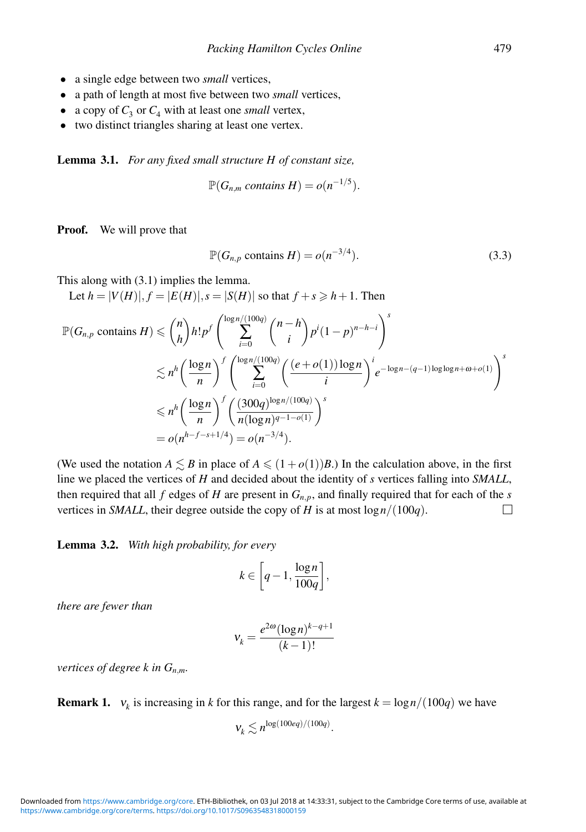- a single edge between two *small* vertices,
- a path of length at most five between two *small* vertices,
- a copy of  $C_3$  or  $C_4$  with at least one *small* vertex,
- two distinct triangles sharing at least one vertex.

**Lemma 3.1.** *For any fixed small structure H of constant size,*

$$
\mathbb{P}(G_{n,m} \text{ contains } H) = o(n^{-1/5}).
$$

**Proof.** We will prove that

$$
\mathbb{P}(G_{n,p} \text{ contains } H) = o(n^{-3/4}).\tag{3.3}
$$

This along with (3.1) implies the lemma.

Let  $h = |V(H)|, f = |E(H)|, s = |S(H)|$  so that  $f + s \geq h + 1$ . Then

$$
\mathbb{P}(G_{n,p} \text{ contains } H) \leqslant {n \choose h} h! p^f \left( \sum_{i=0}^{\log n/(100q)} {n-h \choose i} p^i (1-p)^{n-h-i} \right)^s
$$
  

$$
\lesssim n^h \left( \frac{\log n}{n} \right)^f \left( \sum_{i=0}^{\log n/(100q)} \left( \frac{(e+o(1))\log n}{i} \right)^i e^{-\log n - (q-1)\log \log n + \omega + o(1)} \right)^s
$$
  

$$
\leqslant n^h \left( \frac{\log n}{n} \right)^f \left( \frac{(300q)^{\log n/(100q)}}{n(\log n)^{q-1-o(1)}} \right)^s
$$
  

$$
= o(n^{h-f-s+1/4}) = o(n^{-3/4}).
$$

(We used the notation  $A \leq B$  in place of  $A \leq (1+o(1))B$ .) In the calculation above, in the first line we placed the vertices of *H* and decided about the identity of *s* vertices falling into *SMALL*, then required that all  $f$  edges of  $H$  are present in  $G_{n,p}$ , and finally required that for each of the  $s$ vertices in *SMALL*, their degree outside the copy of *H* is at most  $\log n/(100q)$ . П

**Lemma 3.2.** *With high probability, for every*

$$
k\in \bigg[q-1,\frac{\log n}{100q}\bigg],
$$

*there are fewer than*

$$
v_k = \frac{e^{2\omega} (\log n)^{k-q+1}}{(k-1)!}
$$

*vertices of degree k in Gn*,*m.*

**Remark 1.**  $v_k$  is increasing in *k* for this range, and for the largest  $k = \log n/(100q)$  we have

$$
V_k \lesssim n^{\log(100eq)/(100q)}.
$$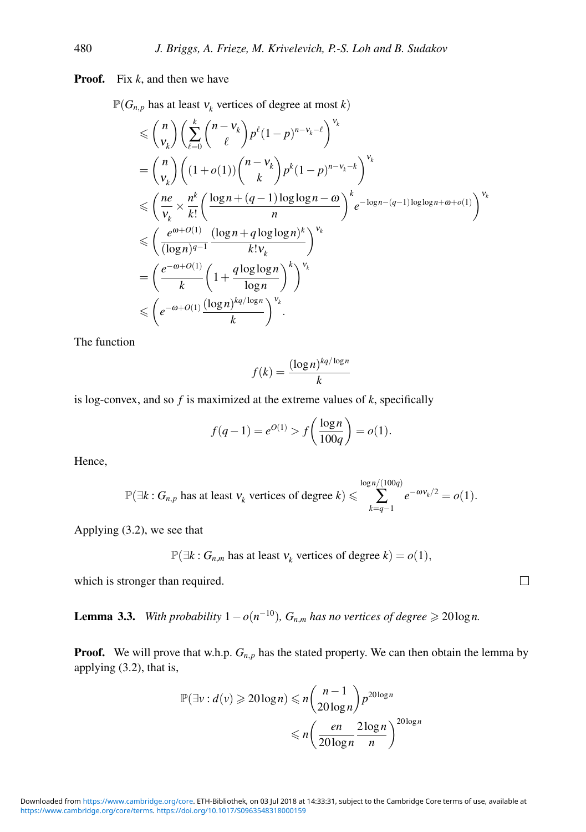**Proof.** Fix *k*, and then we have

 $\mathbb{P}(G_{n,p}$  has at least  $v_k$  vertices of degree at most *k*)

$$
\leq {n \choose v_k} \left( \sum_{\ell=0}^k {n-v_k \choose \ell} p^{\ell} (1-p)^{n-v_k-\ell} \right)^{v_k}
$$
  
\n
$$
= {n \choose v_k} \left( (1+o(1)) {n-v_k \choose k} p^k (1-p)^{n-v_k-k} \right)^{v_k}
$$
  
\n
$$
\leq {n \choose v_k} \frac{n^k}{k!} \left( \frac{\log n + (q-1) \log \log n - \omega}{n} \right)^k e^{-\log n - (q-1) \log \log n + \omega + o(1)} {v_k}
$$
  
\n
$$
\leq \left( \frac{e^{\omega+O(1)}}{(\log n)^{q-1}} \frac{(\log n + q \log \log n)^k}{k! v_k} \right)^{v_k}
$$
  
\n
$$
= \left( \frac{e^{-\omega+O(1)}}{k} \left( 1 + \frac{q \log \log n}{\log n} \right)^k \right)^{v_k}
$$
  
\n
$$
\leq e^{-\omega+O(1)} \frac{(\log n)^{kq/\log n}}{k} {v_k}
$$

The function

$$
f(k) = \frac{(\log n)^{kq/\log n}}{k}
$$

is log-convex, and so *f* is maximized at the extreme values of *k*, specifically

$$
f(q-1) = e^{O(1)} > f\left(\frac{\log n}{100q}\right) = o(1).
$$

Hence,

$$
\mathbb{P}(\exists k : G_{n,p} \text{ has at least } v_k \text{ vertices of degree } k) \leqslant \sum_{k=q-1}^{\log n/(100q)} e^{-\omega v_k/2} = o(1).
$$

Applying (3.2), we see that

$$
\mathbb{P}(\exists k : G_{n,m} \text{ has at least } v_k \text{ vertices of degree } k) = o(1),
$$

which is stronger than required.

**Lemma 3.3.** *With probability*  $1 - o(n^{-10})$ *,*  $G_{n,m}$  *has no vertices of degree*  $\geq 20$ log*n*.

**Proof.** We will prove that w.h.p.  $G_{n,p}$  has the stated property. We can then obtain the lemma by applying (3.2), that is,

$$
\mathbb{P}(\exists v : d(v) \geq 20 \log n) \leq n \binom{n-1}{20 \log n} p^{20 \log n}
$$

$$
\leq n \left( \frac{en}{20 \log n} \frac{2 \log n}{n} \right)^{20 \log n}
$$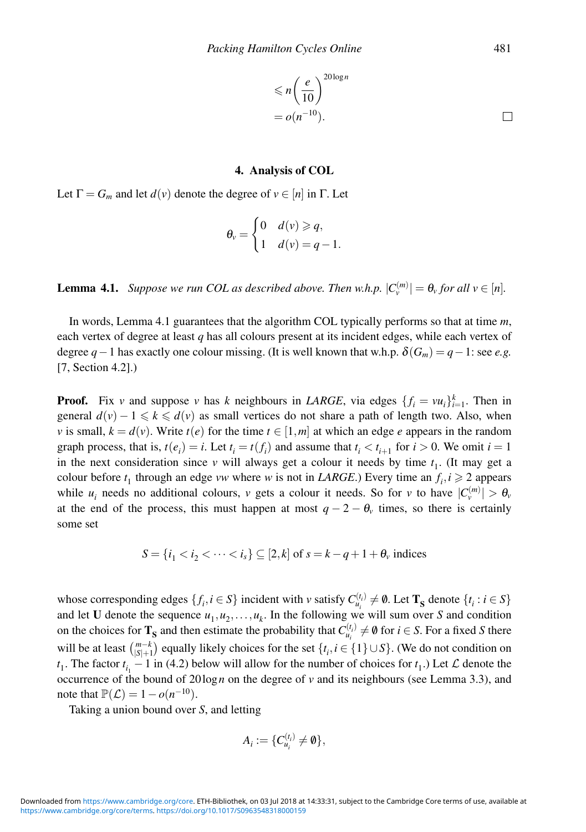$$
\leq n \left(\frac{e}{10}\right)^{20 \log n}
$$
  
=  $o(n^{-10})$ .

#### **4. Analysis of COL**

Let  $\Gamma = G_m$  and let  $d(v)$  denote the degree of  $v \in [n]$  in  $\Gamma$ . Let

$$
\theta_v = \begin{cases} 0 & d(v) \geqslant q, \\ 1 & d(v) = q - 1. \end{cases}
$$

**Lemma 4.1.** *Suppose we run COL as described above. Then w.h.p.*  $|C_v^{(m)}| = \theta_v$  *for all v*  $\in$  [*n*]*.* 

In words, Lemma 4.1 guarantees that the algorithm COL typically performs so that at time *m*, each vertex of degree at least *q* has all colours present at its incident edges, while each vertex of degree  $q-1$  has exactly one colour missing. (It is well known that w.h.p.  $\delta(G_m) = q-1$ : see *e.g.* [7, Section 4.2].)

**Proof.** Fix *v* and suppose *v* has *k* neighbours in *LARGE*, via edges  $\{f_i = vu_i\}_{i=1}^k$ . Then in general  $d(v) - 1 \le k \le d(v)$  as small vertices do not share a path of length two. Also, when *v* is small,  $k = d(v)$ . Write  $t(e)$  for the time  $t \in [1, m]$  at which an edge *e* appears in the random graph process, that is,  $t(e_i) = i$ . Let  $t_i = t(f_i)$  and assume that  $t_i < t_{i+1}$  for  $i > 0$ . We omit  $i = 1$ in the next consideration since  $v$  will always get a colour it needs by time  $t_1$ . (It may get a colour before  $t_1$  through an edge *vw* where *w* is not in *LARGE*.) Every time an  $f_i, i \ge 2$  appears while  $u_i$  needs no additional colours, *v* gets a colour it needs. So for *v* to have  $|C_v^{(m)}| > \theta_v$ at the end of the process, this must happen at most  $q - 2 - \theta$ <sub>v</sub> times, so there is certainly some set

$$
S = \{i_1 < i_2 < \dots < i_s\} \subseteq [2, k] \text{ of } s = k - q + 1 + \theta_v \text{ indices}
$$

whose corresponding edges  $\{f_i, i \in S\}$  incident with *v* satisfy  $C_{u_i}^{(t_i)} \neq \emptyset$ . Let  $\mathbf{T_S}$  denote  $\{t_i : i \in S\}$ and let **U** denote the sequence  $u_1, u_2, \ldots, u_k$ . In the following we will sum over *S* and condition on the choices for  $T_S$  and then estimate the probability that  $C_{u_i}^{(t_i)} \neq \emptyset$  for  $i \in S$ . For a fixed *S* there will be at least  $\binom{m-k}{|S|+1}$  equally likely choices for the set  $\{t_i, i \in \{1\} \cup S\}$ . (We do not condition on *t*<sub>1</sub>. The factor  $t_{i_1} - 1$  in (4.2) below will allow for the number of choices for  $t_1$ .) Let  $\mathcal L$  denote the occurrence of the bound of  $20 \log n$  on the degree of *v* and its neighbours (see Lemma 3.3), and note that  $\mathbb{P}(\mathcal{L}) = 1 - o(n^{-10}).$ 

Taking a union bound over *S*, and letting

$$
A_i := \{C_{u_i}^{(t_i)} \neq \emptyset\},\
$$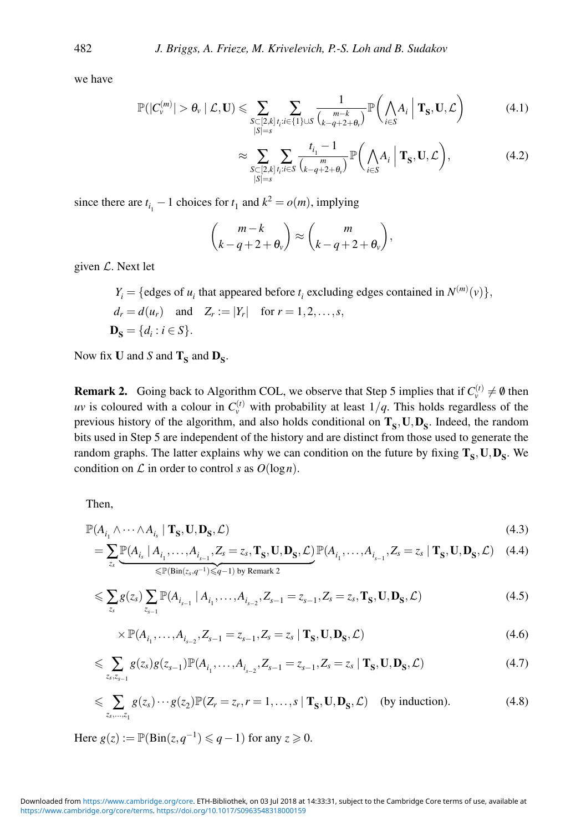we have

$$
\mathbb{P}(|C_{\nu}^{(m)}| > \theta_{\nu} \mid \mathcal{L}, \mathbf{U}) \leqslant \sum_{\substack{S \subset [2,k] \\ |S| = s}} \sum_{t_i : i \in \{1\} \cup S} \frac{1}{\binom{m-k}{k-q+2+\theta_{\nu}}} \mathbb{P}\bigg(\bigwedge_{i \in S} A_i \mid \mathbf{T}_S, \mathbf{U}, \mathcal{L}\bigg) \tag{4.1}
$$

$$
\approx \sum_{\substack{S \subset [2,k] \\ |S|=s}} \sum_{t_i : i \in S} \frac{t_{i_1} - 1}{\binom{m}{k - q + 2 + \theta_v}} \mathbb{P}\bigg(\bigwedge_{i \in S} A_i \mid \mathbf{T}_S, \mathbf{U}, \mathcal{L}\bigg),\tag{4.2}
$$

since there are  $t_{i_1}$  – 1 choices for  $t_1$  and  $k^2 = o(m)$ , implying

$$
\binom{m-k}{k-q+2+\theta_v} \approx \binom{m}{k-q+2+\theta_v},
$$

given  $\mathcal{L}$ . Next let

 $Y_i = \{\text{edges of } u_i \text{ that appeared before } t_i \text{ excluding edges contained in } N^{(m)}(v)\},$  $d_r = d(u_r)$  and  $Z_r := |Y_r|$  for  $r = 1, 2, ..., s$ ,  $D_{\mathbf{S}} = \{d_i : i \in S\}.$ 

Now fix **U** and *S* and  $T_S$  and  $D_S$ .

**Remark 2.** Going back to Algorithm COL, we observe that Step 5 implies that if  $C_v^{(t)} \neq \emptyset$  then *uv* is coloured with a colour in  $C_v^{(t)}$  with probability at least  $1/q$ . This holds regardless of the previous history of the algorithm, and also holds conditional on  $T_s$ ,  $U, D_s$ . Indeed, the random bits used in Step 5 are independent of the history and are distinct from those used to generate the random graphs. The latter explains why we can condition on the future by fixing  $T_S$ ,  $U, D_S$ . We condition on  $\mathcal L$  in order to control *s* as  $O(\log n)$ .

Then,

$$
\mathbb{P}(A_{i_1} \wedge \cdots \wedge A_{i_s} | \mathbf{T}_s, \mathbf{U}, \mathbf{D}_s, \mathcal{L})
$$
\n(4.3)

$$
= \sum_{z_s} \underbrace{\mathbb{P}(A_{i_s} \mid A_{i_1}, \dots, A_{i_{s-1}}, Z_s = z_s, \mathbf{T}_s, \mathbf{U}, \mathbf{D}_s, \mathcal{L})}_{\leq \mathbb{P}(\text{Bin}(z_s, q^{-1}) \leq q-1) \text{ by Remark 2}} \mathbb{P}(A_{i_1}, \dots, A_{i_{s-1}}, Z_s = z_s \mid \mathbf{T}_s, \mathbf{U}, \mathbf{D}_s, \mathcal{L}) \tag{4.4}
$$

$$
\leqslant \sum_{z_s} g(z_s) \sum_{z_{s-1}} \mathbb{P}(A_{i_{s-1}} | A_{i_1}, \dots, A_{i_{s-2}}, Z_{s-1} = z_{s-1}, Z_s = z_s, \mathbf{T}_S, \mathbf{U}, \mathbf{D}_S, \mathcal{L})
$$
\n(4.5)

$$
\times \mathbb{P}(A_{i_1}, \dots, A_{i_{s-2}}, Z_{s-1} = z_{s-1}, Z_s = z_s \mid \mathbf{T}_s, \mathbf{U}, \mathbf{D}_s, \mathcal{L})
$$
\n(4.6)

$$
\leqslant \sum_{z_s,z_{s-1}} g(z_s)g(z_{s-1}) \mathbb{P}(A_{i_1},\ldots,A_{i_{s-2}},Z_{s-1}=z_{s-1},Z_s=z_s \mid \mathbf{T_S},\mathbf{U},\mathbf{D_S},\mathcal{L})
$$
\n(4.7)

$$
\leqslant \sum_{z_s,\dots,z_1} g(z_s) \cdots g(z_2) \mathbb{P}(Z_r = z_r, r = 1,\dots,s \mid \mathbf{T}_S, \mathbf{U}, \mathbf{D}_S, \mathcal{L}) \quad \text{(by induction)}.
$$
\n
$$
(4.8)
$$

Here  $g(z) := \mathbb{P}(\text{Bin}(z, q^{-1}) \leq q - 1)$  for any  $z \geq 0$ .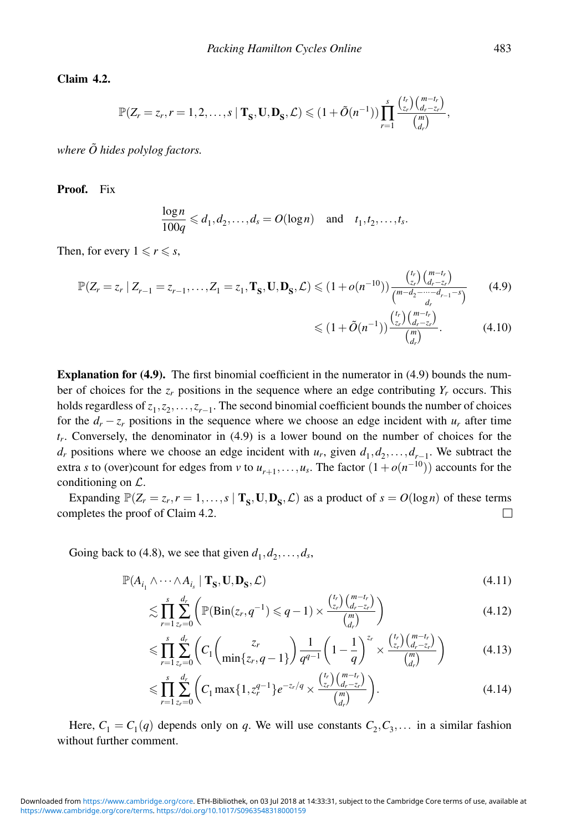**Claim 4.2.**

$$
\mathbb{P}(Z_r=z_r,r=1,2,\ldots,s\mid \mathbf{T_S},\mathbf{U},\mathbf{D_S},\mathcal{L})\leq (1+\tilde{O}(n^{-1}))\prod_{r=1}^s \frac{\binom{t_r}{z_r}\binom{m-t_r}{d_r-z_r}}{\binom{m}{d_r}},
$$

*where*  $\tilde{O}$  *hides polylog factors.* 

**Proof.** Fix

$$
\frac{\log n}{100q} \leq d_1, d_2, \dots, d_s = O(\log n) \quad \text{and} \quad t_1, t_2, \dots, t_s.
$$

Then, for every  $1 \le r \le s$ ,

$$
\mathbb{P}(Z_r = z_r \mid Z_{r-1} = z_{r-1}, \dots, Z_1 = z_1, \mathbf{T}_S, \mathbf{U}, \mathbf{D}_S, \mathcal{L}) \leq (1 + o(n^{-10})) \frac{\binom{t_r}{z_r} \binom{m - t_r}{d_r - z_r}}{\binom{m - d_2 - \dots - d_{r-1} - s}{d_r}} \tag{4.9}
$$

$$
\leq (1 + \tilde{O}(n^{-1})) \frac{\binom{t_r}{z_r} \binom{m - t_r}{d_r - z_r}}{\binom{m}{d_r}}.
$$
\n(4.10)

**Explanation for (4.9).** The first binomial coefficient in the numerator in (4.9) bounds the number of choices for the  $z_r$  positions in the sequence where an edge contributing  $Y_r$  occurs. This holds regardless of  $z_1, z_2, \ldots, z_{r-1}$ . The second binomial coefficient bounds the number of choices for the  $d_r - z_r$  positions in the sequence where we choose an edge incident with  $u_r$  after time *tr*. Conversely, the denominator in (4.9) is a lower bound on the number of choices for the *d<sub>r</sub>* positions where we choose an edge incident with *u<sub>r</sub>*, given  $d_1, d_2, \ldots, d_{r-1}$ . We subtract the extra *s* to (over)count for edges from *v* to  $u_{r+1},...,u_s$ . The factor  $(1+o(n^{-10}))$  accounts for the conditioning on L.

Expanding  $\mathbb{P}(Z_r = z_r, r = 1, \ldots, s \mid \mathbf{T}_s, \mathbf{U}, \mathbf{D}_s, \mathcal{L})$  as a product of  $s = O(\log n)$  of these terms completes the proof of Claim 4.2. П

Going back to (4.8), we see that given  $d_1, d_2, \ldots, d_s$ ,

$$
\mathbb{P}(A_{i_1} \wedge \cdots \wedge A_{i_s} \mid \mathbf{T}_S, \mathbf{U}, \mathbf{D}_S, \mathcal{L}) \tag{4.11}
$$

$$
\lesssim \prod_{r=1}^{s} \sum_{z_r=0}^{d_r} \left( \mathbb{P}(\text{Bin}(z_r, q^{-1}) \leq q-1) \times \frac{\binom{t_r}{z_r} \binom{m-t_r}{d_r - z_r}}{\binom{m}{d_r}} \right) \tag{4.12}
$$

$$
\leqslant \prod_{r=1}^{s} \sum_{z_r=0}^{d_r} \left( C_1 \binom{z_r}{\min\{z_r, q-1\}} \frac{1}{q^{q-1}} \left(1 - \frac{1}{q}\right)^{z_r} \times \frac{\binom{t_r}{z_r} \binom{m-t_r}{d_r - z_r}}{\binom{m}{d_r}} \right) \tag{4.13}
$$

$$
\leqslant \prod_{r=1}^{s} \sum_{z_r=0}^{d_r} \left( C_1 \max\{1, z_r^{q-1}\} e^{-z_r/q} \times \frac{\binom{t_r}{z_r} \binom{m-t_r}{d_r - z_r}}{\binom{m}{d_r}} \right). \tag{4.14}
$$

Here,  $C_1 = C_1(q)$  depends only on q. We will use constants  $C_2, C_3, \ldots$  in a similar fashion without further comment.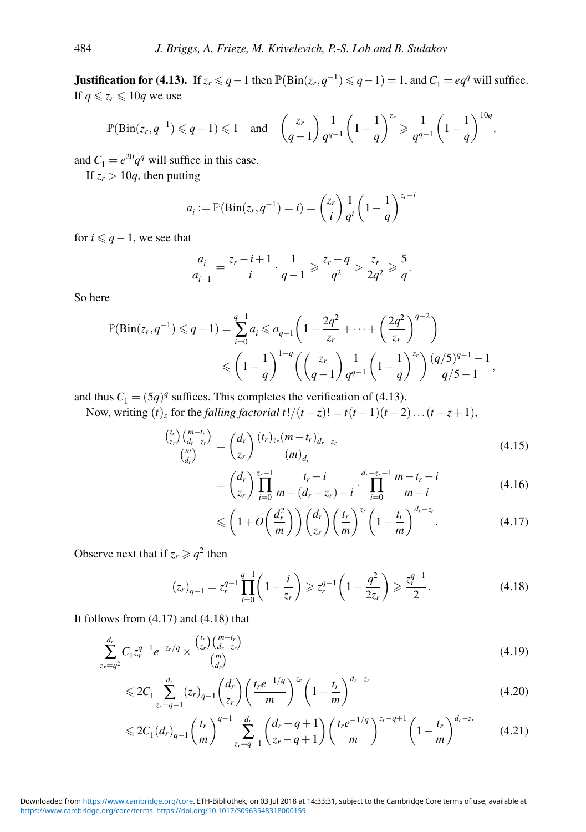**Justification for (4.13).** If  $z_r \leq q-1$  then  $\mathbb{P}(\text{Bin}(z_r, q^{-1}) \leq q-1) = 1$ , and  $C_1 = eq^q$  will suffice. If  $q \leq z_r \leq 10q$  we use

$$
\mathbb{P}(\text{Bin}(z_r, q^{-1}) \leq q-1) \leq 1 \quad \text{and} \quad \binom{z_r}{q-1} \frac{1}{q^{q-1}} \left(1 - \frac{1}{q}\right)^{z_r} \geq \frac{1}{q^{q-1}} \left(1 - \frac{1}{q}\right)^{10q},
$$

and  $C_1 = e^{20}q^q$  will suffice in this case.

If  $z_r > 10q$ , then putting

$$
a_i := \mathbb{P}(\text{Bin}(z_r, q^{-1}) = i) = {z_r \choose i} \frac{1}{q^i} \left(1 - \frac{1}{q}\right)^{z_r - i}
$$

for  $i \leq q-1$ , we see that

$$
\frac{a_i}{a_{i-1}} = \frac{z_r - i + 1}{i} \cdot \frac{1}{q - 1} \ge \frac{z_r - q}{q^2} > \frac{z_r}{2q^2} \ge \frac{5}{q}.
$$

So here

$$
\mathbb{P}(\text{Bin}(z_r, q^{-1}) \leq q - 1) = \sum_{i=0}^{q-1} a_i \leq a_{q-1} \left( 1 + \frac{2q^2}{z_r} + \dots + \left( \frac{2q^2}{z_r} \right)^{q-2} \right)
$$
  

$$
\leq \left( 1 - \frac{1}{q} \right)^{1-q} \left( \left( \frac{z_r}{q-1} \right) \frac{1}{q^{q-1}} \left( 1 - \frac{1}{q} \right)^{z_r} \right) \frac{(q/5)^{q-1} - 1}{q/5 - 1},
$$

and thus  $C_1 = (5q)^q$  suffices. This completes the verification of (4.13).

Now, writing  $(t)$ <sub>z</sub> for the *falling factorial*  $t!/(t-z)! = t(t-1)(t-2)...(t-z+1)$ ,

$$
\frac{\binom{t_r}{z_r}\binom{m-t_r}{d_r-z_r}}{\binom{m}{d_r}} = \binom{d_r}{z_r}\frac{(t_r)_{z_r}(m-t_r)_{d_r-z_r}}{(m)_{d_r}}
$$
\n(4.15)

$$
= \binom{d_r}{z_r} \prod_{i=0}^{z_r-1} \frac{t_r - i}{m - (d_r - z_r) - i} \cdot \prod_{i=0}^{d_r - z_r - 1} \frac{m - t_r - i}{m - i}
$$
(4.16)

$$
\leqslant \left(1+O\left(\frac{d_r^2}{m}\right)\right)\binom{d_r}{z_r}\left(\frac{t_r}{m}\right)^{z_r}\left(1-\frac{t_r}{m}\right)^{d_r-z_r}.\tag{4.17}
$$

Observe next that if  $z_r \geqslant q^2$  then

$$
(z_r)_{q-1} = z_r^{q-1} \prod_{i=0}^{q-1} \left( 1 - \frac{i}{z_r} \right) \geq z_r^{q-1} \left( 1 - \frac{q^2}{2z_r} \right) \geq \frac{z_r^{q-1}}{2}.
$$
 (4.18)

It follows from (4.17) and (4.18) that

$$
\sum_{z_r=q^2}^{d_r} C_1 z_r^{q-1} e^{-z_r/q} \times \frac{\binom{t_r}{z_r} \binom{m-t_r}{d_r-z_r}}{\binom{m}{d_r}}
$$
\n(4.19)

$$
\leq 2C_1 \sum_{z_r=q-1}^{d_r} (z_r)_{q-1} {d_r \choose z_r} \left(\frac{t_r e^{-1/q}}{m}\right)^{z_r} \left(1 - \frac{t_r}{m}\right)^{d_r - z_r} \tag{4.20}
$$

$$
\leq 2C_1(d_r)_{q-1} \left(\frac{t_r}{m}\right)^{q-1} \sum_{z_r=q-1}^{d_r} \left(\frac{d_r-q+1}{z_r-q+1}\right) \left(\frac{t_r e^{-1/q}}{m}\right)^{z_r-q+1} \left(1-\frac{t_r}{m}\right)^{d_r-z_r} \tag{4.21}
$$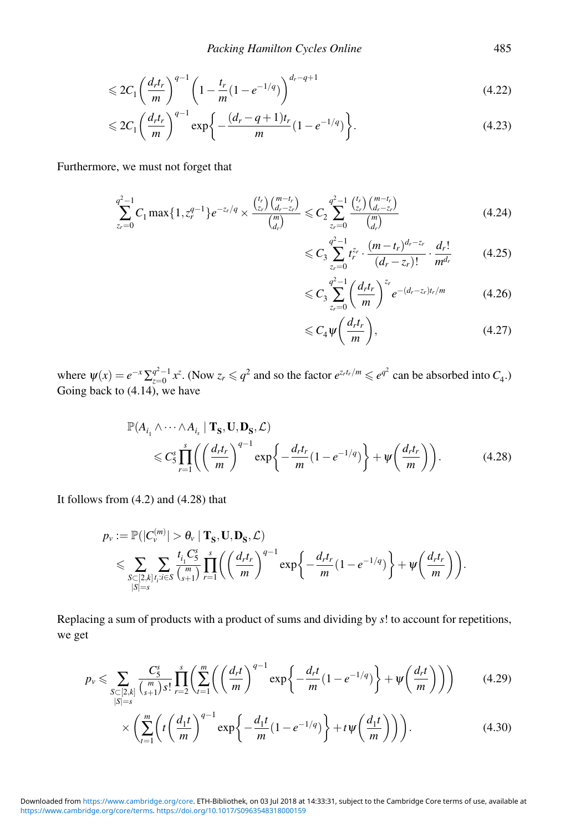$$
\leqslant 2C_1 \left(\frac{d_r t_r}{m}\right)^{q-1} \left(1 - \frac{t_r}{m} (1 - e^{-1/q})\right)^{d_r - q + 1} \tag{4.22}
$$

$$
\leq 2C_1 \left(\frac{d_r t_r}{m}\right)^{q-1} \exp\left\{-\frac{(d_r - q + 1)t_r}{m} (1 - e^{-1/q})\right\}.
$$
\n(4.23)

Furthermore, we must not forget that

$$
\sum_{z_r=0}^{q^2-1} C_1 \max\{1, z_r^{q-1}\} e^{-z_r/q} \times \frac{\binom{t_r}{z_r} \binom{m-t_r}{d_r - z_r}}{\binom{m}{d_r}} \leq C_2 \sum_{z_r=0}^{q^2-1} \frac{\binom{t_r}{z_r} \binom{m-t_r}{d_r - z_r}}{\binom{m}{d_r}}
$$
(4.24)

$$
\leq C_3 \sum_{z_r=0}^{q^2-1} t_r^{z_r} \cdot \frac{(m-t_r)^{d_r-z_r}}{(d_r-z_r)!} \cdot \frac{d_r!}{m^{d_r}} \tag{4.25}
$$

$$
\leqslant C_3 \sum_{z_r=0}^{q^2-1} \left(\frac{d_r t_r}{m}\right)^{z_r} e^{-(d_r-z_r)t_r/m} \tag{4.26}
$$

$$
\leqslant C_4 \psi \left( \frac{d_r t_r}{m} \right),\tag{4.27}
$$

where  $\psi(x) = e^{-x} \sum_{z=0}^{q^2-1} x^z$ . (Now  $z_r \leqslant q^2$  and so the factor  $e^{z_r t_r/m} \leqslant e^{q^2}$  can be absorbed into  $C_4$ .) Going back to  $(4.14)$ , we have

$$
\mathbb{P}(A_{i_1} \wedge \cdots \wedge A_{i_s} | \mathbf{T}_S, \mathbf{U}, \mathbf{D}_S, \mathcal{L})
$$
  
\$\leq C\_S^s \prod\_{r=1}^s \left( \left( \frac{d\_r t\_r}{m} \right)^{q-1} \exp \left\{ -\frac{d\_r t\_r}{m} (1 - e^{-1/q}) \right\} + \psi \left( \frac{d\_r t\_r}{m} \right) \right). \tag{4.28}

It follows from (4.2) and (4.28) that

$$
p_{\nu} := \mathbb{P}(|C_{\nu}^{(m)}| > \theta_{\nu} | \mathbf{T}_{\mathbf{S}}, \mathbf{U}, \mathbf{D}_{\mathbf{S}}, \mathcal{L})
$$
  
\$\leqslant \sum\_{\substack{S \subset [2,k] \\ |S|=s}} \sum\_{t\_i, t\_i \in S} \frac{t\_i C\_{\mathbf{S}}^S}{\binom{m}{s+1}} \prod\_{r=1}^s \left( \left( \frac{d\_r t\_r}{m} \right)^{q-1} \exp \left\{-\frac{d\_r t\_r}{m} (1 - e^{-1/q})\right\} + \psi\left(\frac{d\_r t\_r}{m}\right) \right).

Replacing a sum of products with a product of sums and dividing by *s*! to account for repetitions, we get

$$
p_{\nu} \leqslant \sum_{\substack{S \subset [2,k] \\ |S| = s}} \frac{C_{S}^{s}}{\binom{m}{s+1} s!} \prod_{r=2}^{s} \left( \sum_{t=1}^{m} \left( \left( \frac{d_{r} t}{m} \right)^{q-1} \exp \left\{ -\frac{d_{r} t}{m} (1 - e^{-1/q}) \right\} + \psi \left( \frac{d_{r} t}{m} \right) \right) \right) \tag{4.29}
$$

$$
\times \left( \sum_{t=1}^{m} \left( t \left( \frac{d_1 t}{m} \right)^{q-1} \exp\left\{ -\frac{d_1 t}{m} (1 - e^{-1/q}) \right\} + t \psi\left( \frac{d_1 t}{m} \right) \right) \right). \tag{4.30}
$$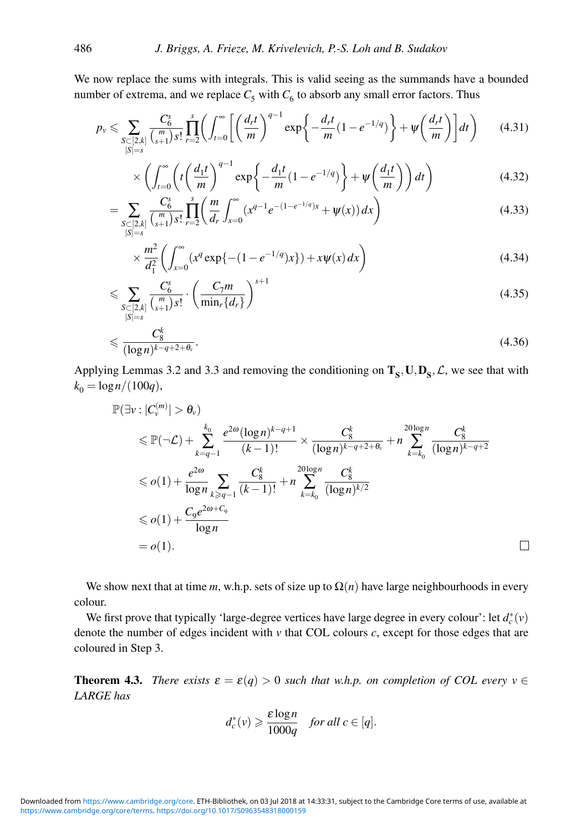We now replace the sums with integrals. This is valid seeing as the summands have a bounded number of extrema, and we replace  $C_5$  with  $C_6$  to absorb any small error factors. Thus

$$
p_{\nu} \leqslant \sum_{\substack{S \subset [2,k] \\ |S|=s}} \frac{C_{6}^{s}}{\binom{m}{s+1} s!} \prod_{r=2}^{s} \left( \int_{t=0}^{\infty} \left[ \left( \frac{d_{r} t}{m} \right)^{q-1} \exp \left\{ -\frac{d_{r} t}{m} (1 - e^{-1/q}) \right\} + \psi \left( \frac{d_{r} t}{m} \right) \right] dt \right) \tag{4.31}
$$

$$
\times \left( \int_{t=0}^{\infty} \left( t \left( \frac{d_1 t}{m} \right)^{q-1} \exp \left\{ -\frac{d_1 t}{m} (1 - e^{-1/q}) \right\} + \Psi \left( \frac{d_1 t}{m} \right) \right) dt \right) \tag{4.32}
$$

$$
= \sum_{\substack{S \subset [2,k] \\ |S|=s}} \frac{C_6^s}{\binom{m}{s+1} s!} \prod_{r=2}^s \left( \frac{m}{d_r} \int_{x=0}^\infty (x^{q-1} e^{-(1-e^{-1/q})x} + \psi(x)) \, dx \right) \tag{4.33}
$$

$$
\times \frac{m^2}{d_1^2} \left( \int_{x=0}^{\infty} (x^q \exp\{-(1-e^{-1/q})x\}) + x \psi(x) dx \right)
$$
 (4.34)

$$
\leqslant \sum_{\substack{S \subset [2,k] \\ |S|=s}} \frac{C_6^s}{\binom{m}{s+1} s!} \cdot \left(\frac{C_7 m}{\min_r \{d_r\}}\right)^{s+1} \tag{4.35}
$$

$$
\leqslant \frac{C_8^k}{(\log n)^{k-q+2+\theta_v}}.\tag{4.36}
$$

Applying Lemmas 3.2 and 3.3 and removing the conditioning on  $T_s$ ,  $U, D_s$ ,  $\mathcal{L}$ , we see that with  $k_0 = \log n/(100q)$ ,

$$
\mathbb{P}(\exists v : |C_v^{(m)}| > \theta_v)
$$
\n
$$
\leq \mathbb{P}(\neg \mathcal{L}) + \sum_{k=q-1}^{k_0} \frac{e^{2\omega} (\log n)^{k-q+1}}{(k-1)!} \times \frac{C_8^k}{(\log n)^{k-q+2+\theta_v}} + n \sum_{k=k_0}^{20\log n} \frac{C_8^k}{(\log n)^{k-q+2}}
$$
\n
$$
\leq o(1) + \frac{e^{2\omega}}{\log n} \sum_{k \geq q-1} \frac{C_8^k}{(k-1)!} + n \sum_{k=k_0}^{20\log n} \frac{C_8^k}{(\log n)^{k/2}}
$$
\n
$$
\leq o(1) + \frac{C_9 e^{2\omega + C_9}}{\log n}
$$
\n
$$
= o(1).
$$

 $\Box$ 

We show next that at time *m*, w.h.p. sets of size up to  $\Omega(n)$  have large neighbourhoods in every colour.

We first prove that typically 'large-degree vertices have large degree in every colour': let  $d_c^*(v)$ denote the number of edges incident with *v* that COL colours *c*, except for those edges that are coloured in Step 3.

**Theorem 4.3.** *There exists*  $\varepsilon = \varepsilon(q) > 0$  *such that w.h.p. on completion of COL every*  $v \in$ *LARGE has*

$$
d_c^*(v) \geqslant \frac{\varepsilon \log n}{1000q} \quad \text{for all } c \in [q].
$$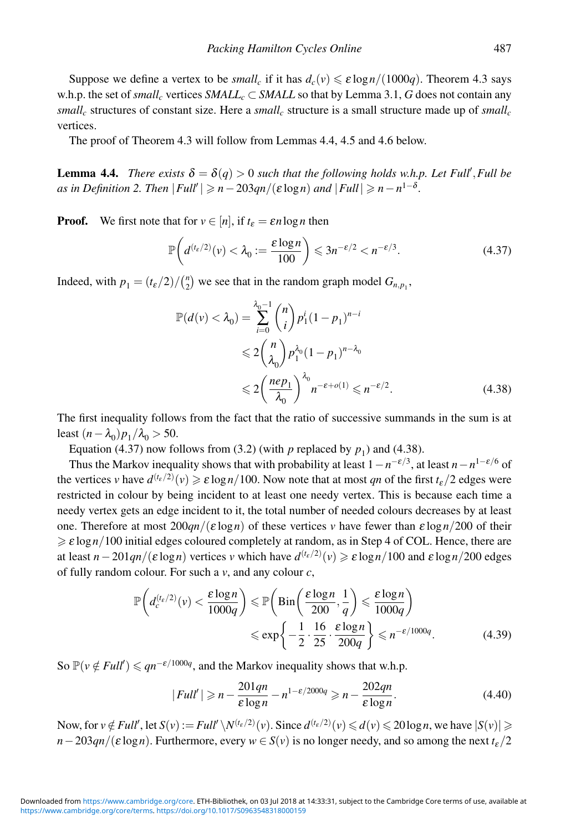Suppose we define a vertex to be *small<sub>c</sub>* if it has  $d_c(v) \le \varepsilon \log n/(1000a)$ . Theorem 4.3 says w.h.p. the set of *small<sub>c</sub>* vertices *SMALL<sub>c</sub>* ⊂ *SMALL* so that by Lemma 3.1, *G* does not contain any  $small_c$  structures of constant size. Here a *small<sub>c</sub>* structure is a small structure made up of *small<sub>c</sub>* vertices.

The proof of Theorem 4.3 will follow from Lemmas 4.4, 4.5 and 4.6 below.

**Lemma 4.4.** *There exists*  $\delta = \delta(q) > 0$  *such that the following holds w.h.p. Let Full', Full be as in Definition 2. Then*  $|Full'| \geqslant n - 203qn/(\varepsilon \log n)$  *and*  $|Full| \geqslant n - n^{1-\delta}$ .

**Proof.** We first note that for  $v \in [n]$ , if  $t_{\varepsilon} = \varepsilon n \log n$  then

$$
\mathbb{P}\bigg(d^{(t_{\varepsilon}/2)}(\nu) < \lambda_0 := \frac{\varepsilon \log n}{100}\bigg) \leqslant 3n^{-\varepsilon/2} < n^{-\varepsilon/3}.\tag{4.37}
$$

Indeed, with  $p_1 = \frac{t_{\varepsilon}}{2} / \binom{n}{2}$  we see that in the random graph model  $G_{n,p_1}$ ,

$$
\mathbb{P}(d(v) < \lambda_0) = \sum_{i=0}^{\lambda_0 - 1} \binom{n}{i} p_1^i (1 - p_1)^{n - i} \\
&\leq 2 \binom{n}{\lambda_0} p_1^{\lambda_0} (1 - p_1)^{n - \lambda_0} \\
&\leq 2 \left( \frac{ne p_1}{\lambda_0} \right)^{\lambda_0} n^{-\varepsilon + o(1)} \leq n^{-\varepsilon/2}.\n\tag{4.38}
$$

The first inequality follows from the fact that the ratio of successive summands in the sum is at least  $(n-\lambda_0)p_1/\lambda_0 > 50$ .

Equation (4.37) now follows from (3.2) (with  $p$  replaced by  $p_1$ ) and (4.38).

Thus the Markov inequality shows that with probability at least  $1-n^{-\epsilon/3}$ , at least  $n-n^{1-\epsilon/6}$  of the vertices *v* have  $d^{(t_{\varepsilon}/2)}(v) \ge \varepsilon \log n/100$ . Now note that at most *qn* of the first  $t_{\varepsilon}/2$  edges were restricted in colour by being incident to at least one needy vertex. This is because each time a needy vertex gets an edge incident to it, the total number of needed colours decreases by at least one. Therefore at most 200*qn*/(<sup>ε</sup> log*n*) of these vertices *v* have fewer than <sup>ε</sup> log*n*/200 of their  $\geqslant \varepsilon \log n/100$  initial edges coloured completely at random, as in Step 4 of COL. Hence, there are at least  $n-201qn/(\varepsilon \log n)$  vertices *v* which have  $d^{(t_\varepsilon/2)}(v) \geqslant \varepsilon \log n/100$  and  $\varepsilon \log n/200$  edges of fully random colour. For such a *v*, and any colour *c*,

$$
\mathbb{P}\left(d_c^{(t_c/2)}(v) < \frac{\varepsilon \log n}{1000q}\right) \leq \mathbb{P}\left(\text{Bin}\left(\frac{\varepsilon \log n}{200}, \frac{1}{q}\right) \leq \frac{\varepsilon \log n}{1000q}\right) \leq \exp\left\{-\frac{1}{2} \cdot \frac{16}{25} \cdot \frac{\varepsilon \log n}{200q}\right\} \leq n^{-\varepsilon/1000q}.\tag{4.39}
$$

So  $\mathbb{P}(v \notin Full') \le qn^{-\varepsilon/1000q}$ , and the Markov inequality shows that w.h.p.

$$
|Full'| \ge n - \frac{201qn}{\varepsilon \log n} - n^{1-\varepsilon/2000q} \ge n - \frac{202qn}{\varepsilon \log n}.
$$
 (4.40)

Now, for  $v \notin Full'$ , let  $S(v) := Full' \setminus N^{(t_{\varepsilon}/2)}(v)$ . Since  $d^{(t_{\varepsilon}/2)}(v) \leq d(v) \leq 20 \log n$ , we have  $|S(v)| \geq$  $n-203qn/(\varepsilon \log n)$ . Furthermore, every  $w \in S(v)$  is no longer needy, and so among the next  $t_{\varepsilon}/2$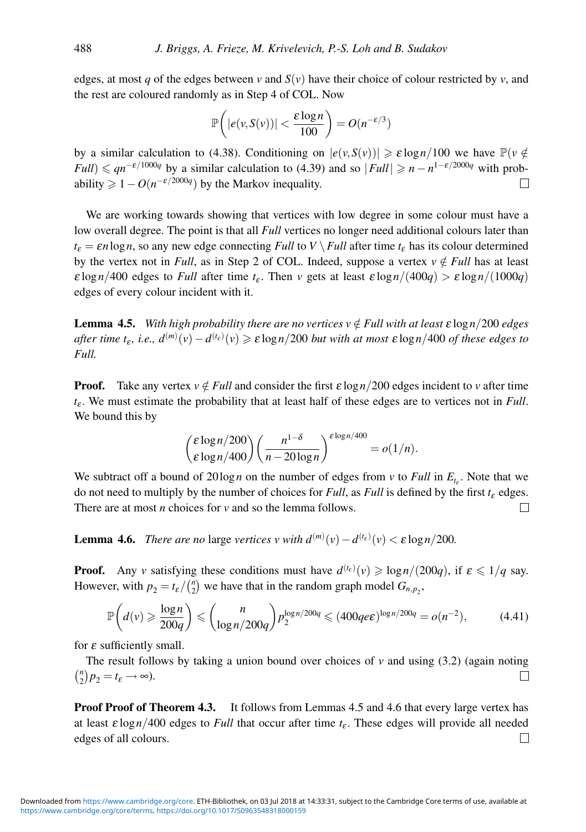edges, at most *q* of the edges between *v* and  $S(v)$  have their choice of colour restricted by *v*, and the rest are coloured randomly as in Step 4 of COL. Now

$$
\mathbb{P}\bigg(|e(v, S(v))| < \frac{\varepsilon \log n}{100}\bigg) = O(n^{-\varepsilon/3})
$$

by a similar calculation to (4.38). Conditioning on  $|e(v, S(v))| \ge \varepsilon \log n/100$  we have  $\mathbb{P}(v \notin S(v))$  $Full$ )  $\leq qn^{-\epsilon/1000q}$  by a similar calculation to (4.39) and so  $|Full| \geq n - n^{1-\epsilon/2000q}$  with probability  $\geq 1 - O(n^{-\epsilon/2000q})$  by the Markov inequality. П

We are working towards showing that vertices with low degree in some colour must have a low overall degree. The point is that all *Full* vertices no longer need additional colours later than  $t_{\varepsilon} = \varepsilon n \log n$ , so any new edge connecting *Full* to *V* \ *Full* after time  $t_{\varepsilon}$  has its colour determined by the vertex not in *Full*, as in Step 2 of COL. Indeed, suppose a vertex  $v \notin Full$  has at least ε log<sub>*n*</sub>/400 edges to *Full* after time  $t<sub>ε</sub>$ . Then *v* gets at least ε log<sub>*n*</sub>/(400*q*) > ε log<sub>*n*</sub>/(1000*q*) edges of every colour incident with it.

**Lemma 4.5.** *With high probability there are no vertices*  $v \notin$  *Full with at least*  $\epsilon \log n/200$  *edges after time t<sub>ε</sub>, i.e.,*  $d^{(m)}(v) - d^{(t_e)}(v) \ge \varepsilon \log n/200$  *but with at most*  $\varepsilon \log n/400$  *of these edges to Full.*

**Proof.** Take any vertex  $v \notin Full$  and consider the first  $\varepsilon \log n/200$  edges incident to *v* after time  $t_{\epsilon}$ . We must estimate the probability that at least half of these edges are to vertices not in *Full*. We bound this by

$$
{\binom{\varepsilon \log n/200}{\varepsilon \log n/400}} {\left(\frac{n^{1-\delta}}{n-20\log n}\right)}^{\varepsilon \log n/400} = o(1/n).
$$

We subtract off a bound of  $20 \log n$  on the number of edges from *v* to *Full* in  $E_{t_{\varepsilon}}$ . Note that we do not need to multiply by the number of choices for *Full*, as *Full* is defined by the first  $t<sub>\epsilon</sub>$  edges. There are at most *n* choices for *v* and so the lemma follows.  $\Box$ 

**Lemma 4.6.** *There are no* large *vertices v with*  $d^{(m)}(v) - d^{(t_{\varepsilon})}(v) < \varepsilon \log n/200$ .

**Proof.** Any *v* satisfying these conditions must have  $d^{(t_{\varepsilon})}(v) \geq \log n/(200q)$ , if  $\varepsilon \leq 1/q$  say. However, with  $p_2 = t_{\varepsilon}/\binom{n}{2}$  we have that in the random graph model  $G_{n,p_2}$ ,

$$
\mathbb{P}\left(d(v) \geqslant \frac{\log n}{200q}\right) \leqslant {n \choose \log n/200q} p_2^{\log n/200q} \leqslant (400qe\epsilon)^{\log n/200q} = o(n^{-2}),\tag{4.41}
$$

for  $\varepsilon$  sufficiently small.

The result follows by taking a union bound over choices of  $\nu$  and using (3.2) (again noting  ${n \choose 2} p_2 = t_{\varepsilon} \longrightarrow \infty$ ).  $\Box$ 

**Proof Proof of Theorem 4.3.** It follows from Lemmas 4.5 and 4.6 that every large vertex has at least  $\varepsilon \log n/400$  edges to *Full* that occur after time  $t_{\varepsilon}$ . These edges will provide all needed edges of all colours.  $\Box$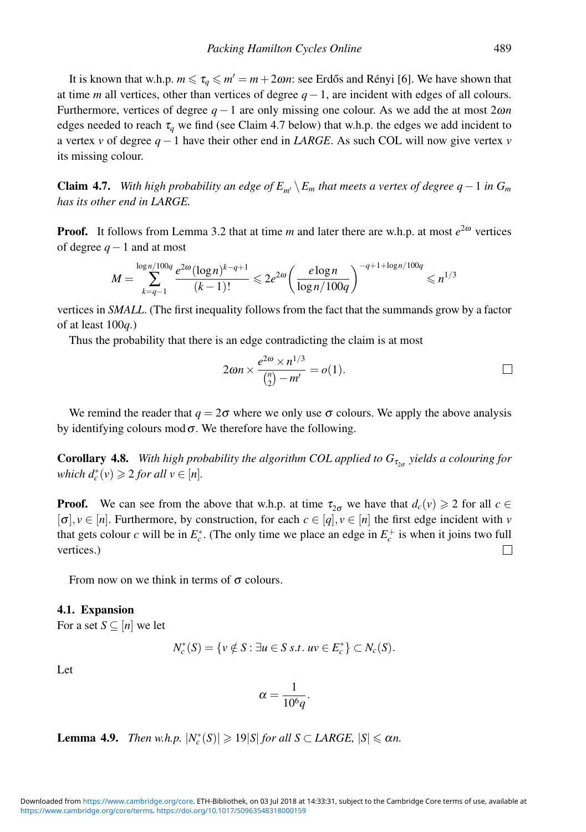It is known that w.h.p.  $m \le \tau_a \le m' = m + 2\omega n$ : see Erdős and Rényi [6]. We have shown that at time *m* all vertices, other than vertices of degree *q*−1, are incident with edges of all colours. Furthermore, vertices of degree *q* − 1 are only missing one colour. As we add the at most 2ω*n* edges needed to reach  $\tau_q$  we find (see Claim 4.7 below) that w.h.p. the edges we add incident to a vertex *v* of degree *q*−1 have their other end in *LARGE*. As such COL will now give vertex *v* its missing colour.

**Claim 4.7.** *With high probability an edge of*  $E_{m'} \setminus E_m$  *that meets a vertex of degree q* − 1 *in*  $G_m$ *has its other end in LARGE.*

**Proof.** It follows from Lemma 3.2 that at time *m* and later there are w.h.p. at most  $e^{2\omega}$  vertices of degree *q*−1 and at most

$$
M = \sum_{k=q-1}^{\log n/100q} \frac{e^{2\omega} (\log n)^{k-q+1}}{(k-1)!} \leq 2e^{2\omega} \left( \frac{e \log n}{\log n/100q} \right)^{-q+1+\log n/100q} \leq n^{1/3}
$$

vertices in *SMALL*. (The first inequality follows from the fact that the summands grow by a factor of at least 100*q*.)

Thus the probability that there is an edge contradicting the claim is at most

$$
2\omega n \times \frac{e^{2\omega} \times n^{1/3}}{\binom{n}{2} - m'} = o(1).
$$

We remind the reader that  $q = 2\sigma$  where we only use  $\sigma$  colours. We apply the above analysis by identifying colours mod  $\sigma$ . We therefore have the following.

**Corollary 4.8.** *With high probability the algorithm COL applied to*  $G_{\tau_{\alpha}}$  *yields a colouring for which*  $d_c^*(v) \geqslant 2$  *for all*  $v \in [n]$ *.* 

**Proof.** We can see from the above that w.h.p. at time  $\tau_{2\sigma}$  we have that  $d_c(v) \geq 2$  for all  $c \in$  $[\sigma], v \in [n]$ . Furthermore, by construction, for each  $c \in [q], v \in [n]$  the first edge incident with *v* that gets colour *c* will be in  $E_c^*$ . (The only time we place an edge in  $E_c^+$  is when it joins two full vertices.)  $\Box$ 

From now on we think in terms of  $\sigma$  colours.

#### **4.1. Expansion**

For a set  $S \subseteq [n]$  we let

$$
N_c^*(S) = \{v \notin S : \exists u \in S \ s.t. \ uv \in E_c^*\} \subset N_c(S).
$$

Let

$$
\alpha = \frac{1}{10^6 q}.
$$

**Lemma 4.9.** *Then w.h.p.*  $|N_c^*(S)| \geq 19|S|$  *for all S* ⊂ *LARGE,*  $|S| \leq \alpha n$ .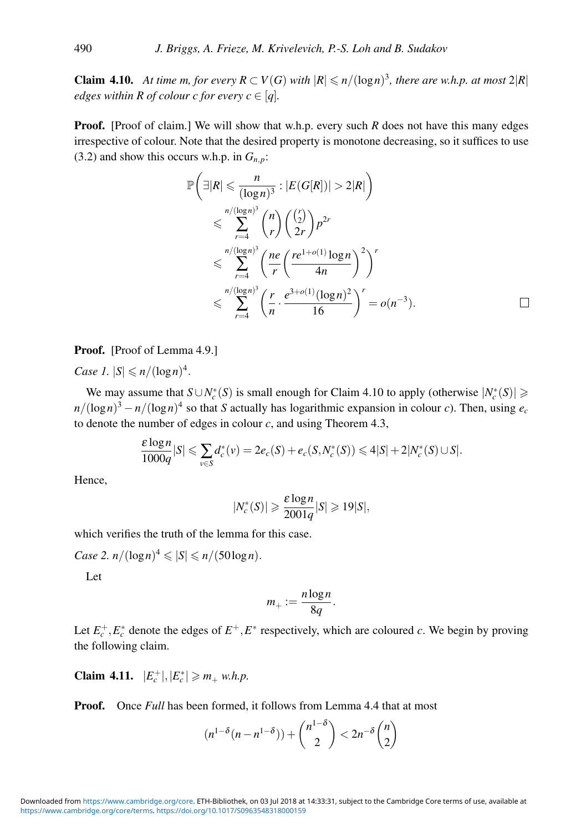**Claim 4.10.** *At time m, for every*  $R \subset V(G)$  *with*  $|R| \leq n/(\log n)^3$ *, there are w.h.p. at most* 2 $|R|$ *edges within R of colour c for every*  $c \in [q]$ *.* 

**Proof.** [Proof of claim.] We will show that w.h.p. every such *R* does not have this many edges irrespective of colour. Note that the desired property is monotone decreasing, so it suffices to use (3.2) and show this occurs w.h.p. in  $G_{n,p}$ :

$$
\mathbb{P}\left(\exists |R| \leqslant \frac{n}{(\log n)^3} : |E(G[R])| > 2|R|\right)
$$
\n
$$
\leqslant \sum_{r=4}^{n/(\log n)^3} {n \choose r} {r \choose 2} p^{2r}
$$
\n
$$
\leqslant \sum_{r=4}^{n/(\log n)^3} \left(\frac{ne}{r} \left(\frac{re^{1+o(1)}\log n}{4n}\right)^2\right)^r
$$
\n
$$
\leqslant \sum_{r=4}^{n/(\log n)^3} \left(\frac{r}{n} \cdot \frac{e^{3+o(1)}(\log n)^2}{16}\right)^r = o(n^{-3}).\qquad\qquad\Box
$$

Proof. [Proof of Lemma 4.9.]

*Case 1.*  $|S| \leq n/(\log n)^4$ .

We may assume that  $S \cup N_c^*(S)$  is small enough for Claim 4.10 to apply (otherwise  $|N_c^*(S)| \geq$  $n/(\log n)^3 - n/(\log n)^4$  so that *S* actually has logarithmic expansion in colour *c*). Then, using  $e_c$ to denote the number of edges in colour *c*, and using Theorem 4.3,

$$
\frac{\varepsilon \log n}{1000q}|S| \leqslant \sum_{v \in S} d_c^*(v) = 2e_c(S) + e_c(S, N_c^*(S)) \leqslant 4|S| + 2|N_c^*(S) \cup S|.
$$

Hence,

$$
|N_c^*(S)| \geqslant \frac{\varepsilon \log n}{2001q}|S| \geqslant 19|S|,
$$

which verifies the truth of the lemma for this case.

*Case 2.*  $n/(\log n)^4 \leqslant |S| \leqslant n/(50\log n)$ .

Let

$$
m_+ := \frac{n \log n}{8q}.
$$

Let  $E_c^+$ ,  $E_c^*$  denote the edges of  $E^+$ ,  $E^*$  respectively, which are coloured *c*. We begin by proving the following claim.

**Claim 4.11.**  $|E_c^+|, |E_c^*| \ge m_+ \text{ w.h.p.}$ 

**Proof.** Once *Full* has been formed, it follows from Lemma 4.4 that at most

$$
(n^{1-\delta}(n-n^{1-\delta})) + \binom{n^{1-\delta}}{2} < 2n^{-\delta}\binom{n}{2}
$$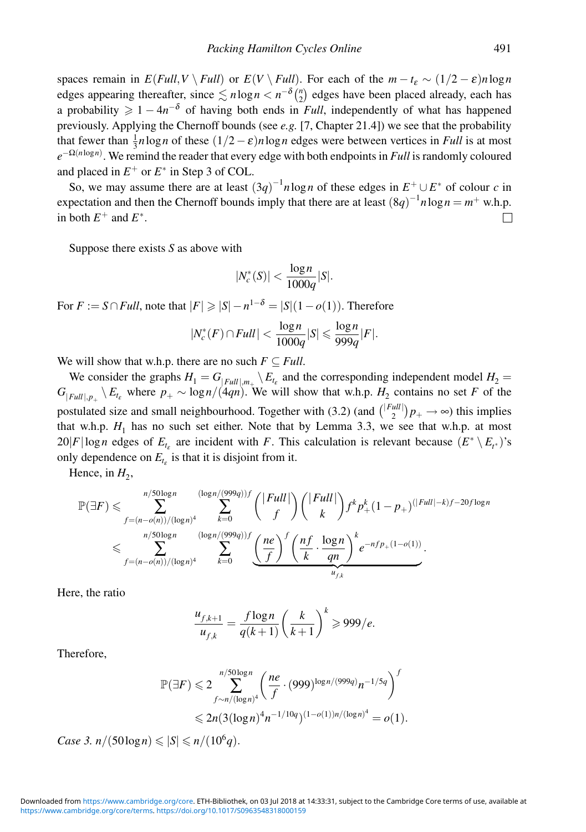spaces remain in  $E(Full, V \setminus Full)$  or  $E(V \setminus Full)$ . For each of the  $m - t<sub>\epsilon</sub> \sim (1/2 - \epsilon)n \log n$ edges appearing thereafter, since  $\leq n \log n < n^{-\delta} {n \choose 2}$  edges have been placed already, each has a probability  $\geq 1 - 4n^{-\delta}$  of having both ends in *Full*, independently of what has happened previously. Applying the Chernoff bounds (see *e.g.* [7, Chapter 21.4]) we see that the probability that fewer than  $\frac{1}{3}n\log n$  of these  $(1/2 - \varepsilon)n\log n$  edges were between vertices in *Full* is at most *e*−Ω(*n*log*n*) . We remind the reader that every edge with both endpoints in *Full* is randomly coloured and placed in  $E^+$  or  $E^*$  in Step 3 of COL.

So, we may assume there are at least  $(3q)^{-1}n \log n$  of these edges in  $E^+ \cup E^*$  of colour *c* in expectation and then the Chernoff bounds imply that there are at least  $(8q)^{-1}n \log n = m^+ \text{ w.h.p.}$ in both  $E^+$  and  $E^*$ .  $\Box$ 

Suppose there exists *S* as above with

$$
|N_c^*(S)| < \frac{\log n}{1000q}|S|.
$$

For  $F := S \cap Full$ , note that  $|F| \geqslant |S| - n^{1-\delta} = |S|(1 - o(1))$ . Therefore

$$
|N_c^*(F) \cap Full| < \frac{\log n}{1000q}|S| \leqslant \frac{\log n}{999q}|F|.
$$

We will show that w.h.p. there are no such  $F \subseteq Full$ .

We consider the graphs  $H_1 = G_{|Full|, m_+} \backslash E_{t_{\varepsilon}}$  and the corresponding independent model  $H_2 =$  $G_{|Full|, p_{+}} \setminus E_{t_{\varepsilon}}$  where  $p_{+} \sim \log n/(4qn)$ . We will show that w.h.p.  $H_2$  contains no set *F* of the postulated size and small neighbourhood. Together with (3.2) (and  $\binom{|Full|}{2}p_+ \to \infty$ ) this implies that w.h.p.  $H_1$  has no such set either. Note that by Lemma 3.3, we see that w.h.p. at most 20|*F*|log*n* edges of  $E_{t_s}$  are incident with *F*. This calculation is relevant because  $(E^* \setminus E_{t^*})$ 's only dependence on  $E_{t_{\varepsilon}}$  is that it is disjoint from it.

Hence, in  $H_2$ ,

$$
\mathbb{P}(\exists F) \leqslant \sum_{f=(n-o(n))/(\log n)^4}^{n/50\log n} \sum_{k=0}^{\left(\log n/(999q)\right)f} \binom{|Full|}{f} \binom{|Full|}{k} f^k p_+^k (1-p_+)^{(|Full|-k)f-20f\log n} \leqslant \sum_{f=(n-o(n))/(\log n)^4}^{n/50\log n} \sum_{k=0}^{\left(\log n/(999q)\right)f} \underbrace{\left(\frac{ne}{f}\right)^f \left(\frac{nf}{k} \cdot \frac{\log n}{qn}\right)^k e^{-nf p_+(1-o(1))}}_{u_{f,k}}.
$$

Here, the ratio

$$
\frac{u_{f,k+1}}{u_{f,k}} = \frac{f \log n}{q(k+1)} \left(\frac{k}{k+1}\right)^k \geq 999/e.
$$

Therefore,

$$
\mathbb{P}(\exists F) \leq 2 \sum_{f \sim n/(\log n)^4}^{n/50 \log n} \left( \frac{ne}{f} \cdot (999)^{\log n/(999q)} n^{-1/5q} \right)^f
$$
  

$$
\leq 2n(3(\log n)^4 n^{-1/10q})^{(1-o(1))n/(\log n)^4} = o(1).
$$

*Case 3.*  $n/(50 \log n) \le |S| \le n/(10^6 q)$ .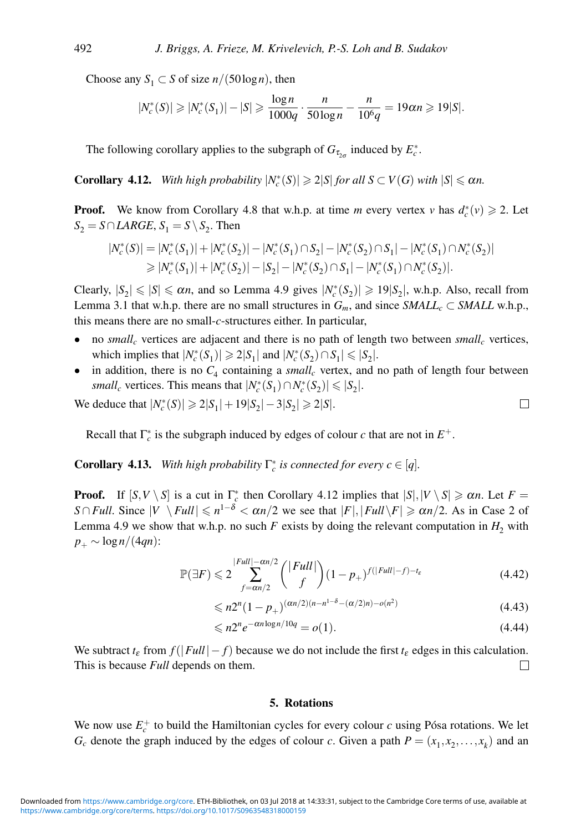Choose any *S*<sub>1</sub> ⊂ *S* of size *n*/(50log *n*), then

$$
|N_c^*(S)| \ge |N_c^*(S_1)| - |S| \ge \frac{\log n}{1000q} \cdot \frac{n}{50 \log n} - \frac{n}{10^6 q} = 19 \alpha n \ge 19 |S|.
$$

The following corollary applies to the subgraph of  $G_{\tau_{2\sigma}}$  induced by  $E_c^*$ .

**Corollary 4.12.** *With high probability*  $|N_c^*(S)| \ge 2|S|$  *for all*  $S \subset V(G)$  *with*  $|S| \le \alpha n$ .

**Proof.** We know from Corollary 4.8 that w.h.p. at time *m* every vertex *v* has  $d_c^*(v) \ge 2$ . Let  $S_2 = S \cap LARGE$ ,  $S_1 = S \setminus S_2$ . Then

$$
|N_c^*(S)| = |N_c^*(S_1)| + |N_c^*(S_2)| - |N_c^*(S_1) \cap S_2| - |N_c^*(S_2) \cap S_1| - |N_c^*(S_1) \cap N_c^*(S_2)|
$$
  
\n
$$
\geq |N_c^*(S_1)| + |N_c^*(S_2)| - |S_2| - |N_c^*(S_2) \cap S_1| - |N_c^*(S_1) \cap N_c^*(S_2)|.
$$

Clearly,  $|S_2| \le |S| \le \alpha n$ , and so Lemma 4.9 gives  $|N_c^*(S_2)| \ge 19|S_2|$ , w.h.p. Also, recall from Lemma 3.1 that w.h.p. there are no small structures in  $G_m$ , and since *SMALL<sub>c</sub>* ⊂ *SMALL* w.h.p., this means there are no small-*c*-structures either. In particular,

- no *small<sub>c</sub>* vertices are adjacent and there is no path of length two between *small<sub>c</sub>* vertices, which implies that  $|N_c^*(S_1)| \geq 2|S_1|$  and  $|N_c^*(S_2) \cap S_1| \leq |S_2|$ .
- in addition, there is no  $C_4$  containing a *small<sub>c</sub>* vertex, and no path of length four between *small<sub>c</sub>* vertices. This means that  $|N_c^*(S_1) \cap N_c^*(S_2)| \le |S_2|$ .

We deduce that  $|N_c^*(S)|$  ≥ 2| $S_1|$  + 19| $S_2|$  − 3| $S_2|$  ≥ 2|*S*|.

Recall that  $\Gamma_c^*$  is the subgraph induced by edges of colour *c* that are not in  $E^+$ .

**Corollary 4.13.** *With high probability*  $\Gamma_c^*$  *is connected for every*  $c \in [q]$ *.* 

**Proof.** If  $[S, V \setminus S]$  is a cut in  $\Gamma_c^*$  then Corollary 4.12 implies that  $|S|, |V \setminus S| \ge \alpha n$ . Let  $F =$ *S* ∩ *Full*. Since  $|V \setminus Full| \leq n^{1-\delta} < \alpha n/2$  we see that  $|F|, |Full \setminus F| \geq \alpha n/2$ . As in Case 2 of Lemma 4.9 we show that w.h.p. no such  $F$  exists by doing the relevant computation in  $H_2$  with *p*<sup>+</sup> ∼ log*n*/(4*qn*):

$$
\mathbb{P}(\exists F) \leqslant 2 \sum_{f=\alpha n/2}^{|Full|-\alpha n/2} \binom{|Full|}{f} (1-p_+)^{f(|Full|-f)-t_{\varepsilon}} \tag{4.42}
$$

$$
\leqslant n 2^{n} (1 - p_{+})^{(\alpha n/2)(n - n^{1 - \delta} - (\alpha/2)n) - o(n^{2})}
$$
\n(4.43)

$$
\leqslant n2^n e^{-\alpha n \log n/10q} = o(1). \tag{4.44}
$$

We subtract  $t_{\varepsilon}$  from  $f(|Full| - f)$  because we do not include the first  $t_{\varepsilon}$  edges in this calculation. This is because *Full* depends on them. П

#### **5. Rotations**

We now use  $E_c^+$  to build the Hamiltonian cycles for every colour *c* using Pósa rotations. We let  $G_c$  denote the graph induced by the edges of colour *c*. Given a path  $P = (x_1, x_2, \ldots, x_k)$  and an

$$
\Box
$$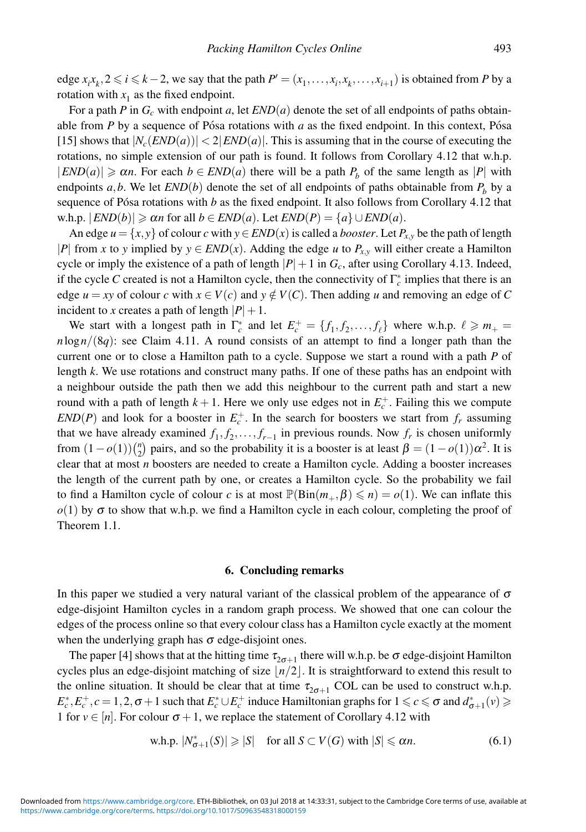edge  $x_i x_k, 2 \le i \le k-2$ , we say that the path  $P' = (x_1, \ldots, x_i, x_k, \ldots, x_{i+1})$  is obtained from *P* by a rotation with  $x_1$  as the fixed endpoint.

For a path *P* in  $G_c$  with endpoint *a*, let  $END(a)$  denote the set of all endpoints of paths obtainable from  $P$  by a sequence of Pósa rotations with  $a$  as the fixed endpoint. In this context, Pósa [15] shows that  $|N_c(END(a))| < 2|END(a)|$ . This is assuming that in the course of executing the rotations, no simple extension of our path is found. It follows from Corollary 4.12 that w.h.p.  $|END(a)| \ge \alpha n$ . For each  $b \in END(a)$  there will be a path  $P_b$  of the same length as  $|P|$  with endpoints  $a, b$ . We let  $END(b)$  denote the set of all endpoints of paths obtainable from  $P<sub>b</sub>$  by a sequence of Pósa rotations with  $b$  as the fixed endpoint. It also follows from Corollary 4.12 that  $\langle W, h, p \rangle$ .  $|END(b)| \geq \alpha n$  for all  $b \in END(a)$ . Let  $END(P) = \{a\} \cup END(a)$ .

An edge  $u = \{x, y\}$  of colour *c* with  $y \in END(x)$  is called a *booster*. Let  $P_{x,y}$  be the path of length |*P*| from *x* to *y* implied by  $y \in END(x)$ . Adding the edge *u* to  $P_{x,y}$  will either create a Hamilton cycle or imply the existence of a path of length  $|P|+1$  in  $G_c$ , after using Corollary 4.13. Indeed, if the cycle *C* created is not a Hamilton cycle, then the connectivity of  $\Gamma_c^*$  implies that there is an edge  $u = xy$  of colour *c* with  $x \in V(c)$  and  $y \notin V(c)$ . Then adding *u* and removing an edge of *C* incident to *x* creates a path of length  $|P|+1$ .

We start with a longest path in  $\Gamma_c^*$  and let  $E_c^+ = \{f_1, f_2, \ldots, f_\ell\}$  where w.h.p.  $\ell \geq m_+ =$  $n \log n / (8q)$ : see Claim 4.11. A round consists of an attempt to find a longer path than the current one or to close a Hamilton path to a cycle. Suppose we start a round with a path *P* of length *k*. We use rotations and construct many paths. If one of these paths has an endpoint with a neighbour outside the path then we add this neighbour to the current path and start a new round with a path of length  $k + 1$ . Here we only use edges not in  $E_c^+$ . Failing this we compute  $END(P)$  and look for a booster in  $E_c^+$ . In the search for boosters we start from  $f_r$  assuming that we have already examined  $f_1, f_2, \ldots, f_{r-1}$  in previous rounds. Now  $f_r$  is chosen uniformly from  $(1 - o(1))\binom{n}{2}$  pairs, and so the probability it is a booster is at least  $\beta = (1 - o(1))\alpha^2$ . It is clear that at most *n* boosters are needed to create a Hamilton cycle. Adding a booster increases the length of the current path by one, or creates a Hamilton cycle. So the probability we fail to find a Hamilton cycle of colour *c* is at most  $\mathbb{P}(\text{Bin}(m_+, \beta) \leq n) = o(1)$ . We can inflate this  $o(1)$  by  $\sigma$  to show that w.h.p. we find a Hamilton cycle in each colour, completing the proof of Theorem 1.1.

#### **6. Concluding remarks**

In this paper we studied a very natural variant of the classical problem of the appearance of  $\sigma$ edge-disjoint Hamilton cycles in a random graph process. We showed that one can colour the edges of the process online so that every colour class has a Hamilton cycle exactly at the moment when the underlying graph has  $\sigma$  edge-disjoint ones.

The paper [4] shows that at the hitting time  $\tau_{2\sigma+1}$  there will w.h.p. be  $\sigma$  edge-disjoint Hamilton cycles plus an edge-disjoint matching of size  $n/2$ . It is straightforward to extend this result to the online situation. It should be clear that at time  $\tau_{2\sigma+1}$  COL can be used to construct w.h.p.  $E_c^*, E_c^+, c = 1, 2, \sigma + 1$  such that  $E_c^* \cup E_c^+$  induce Hamiltonian graphs for  $1 \leq c \leq \sigma$  and  $d_{\sigma+1}^*(v) \geq$ 1 for  $v \in [n]$ . For colour  $\sigma + 1$ , we replace the statement of Corollary 4.12 with

$$
\text{w.h.p. } |N^*_{\sigma+1}(S)| \geqslant |S| \quad \text{for all } S \subset V(G) \text{ with } |S| \leqslant \alpha n. \tag{6.1}
$$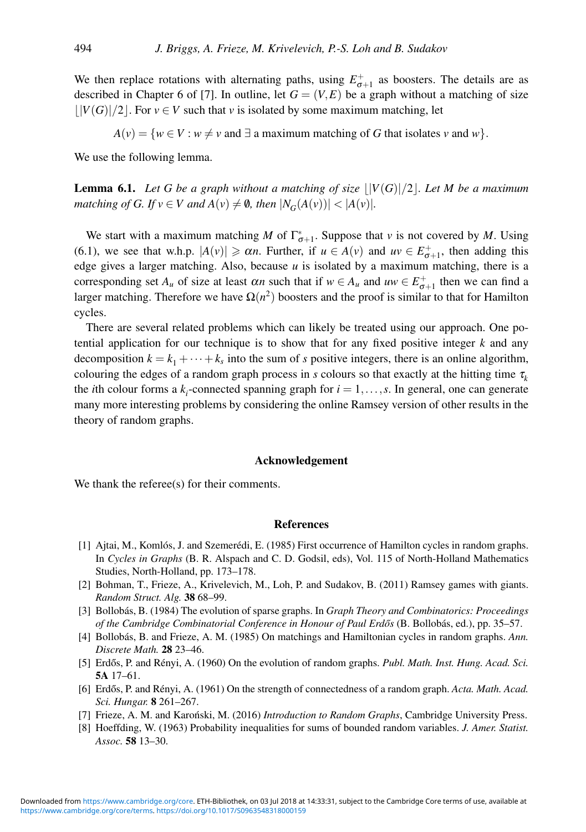We then replace rotations with alternating paths, using  $E_{\sigma+1}^+$  as boosters. The details are as described in Chapter 6 of [7]. In outline, let  $G = (V, E)$  be a graph without a matching of size  $|V(G)|/2$ . For  $v \in V$  such that *v* is isolated by some maximum matching, let

 $A(v) = \{w \in V : w \neq v \text{ and } \exists \text{ a maximum matching of } G \text{ that isolates } v \text{ and } w\}.$ 

We use the following lemma.

**Lemma 6.1.** Let G be a graph without a matching of size  $|V(G)|/2$ . Let M be a maximum *matching of G. If*  $v \in V$  *and*  $A(v) \neq \emptyset$ *, then*  $|N_G(A(v))| < |A(v)|$ *.* 

We start with a maximum matching *M* of  $\Gamma^*_{\sigma+1}$ . Suppose that *v* is not covered by *M*. Using (6.1), we see that w.h.p.  $|A(v)| \ge \alpha n$ . Further, if  $u \in A(v)$  and  $uv \in E_{\sigma+1}^+$ , then adding this edge gives a larger matching. Also, because *u* is isolated by a maximum matching, there is a corresponding set  $A_u$  of size at least  $\alpha_n$  such that if  $w \in A_u$  and  $uw \in E_{\sigma+1}^+$  then we can find a larger matching. Therefore we have  $\Omega(n^2)$  boosters and the proof is similar to that for Hamilton cycles.

There are several related problems which can likely be treated using our approach. One potential application for our technique is to show that for any fixed positive integer *k* and any decomposition  $k = k_1 + \cdots + k_s$  into the sum of *s* positive integers, there is an online algorithm, colouring the edges of a random graph process in *s* colours so that exactly at the hitting time  $\tau<sub>k</sub>$ the *i*th colour forms a  $k_i$ -connected spanning graph for  $i = 1, \ldots, s$ . In general, one can generate many more interesting problems by considering the online Ramsey version of other results in the theory of random graphs.

#### **Acknowledgement**

We thank the referee(s) for their comments.

#### **References**

- [1] Aitai, M., Komlós, J. and Szemerédi, E. (1985) First occurrence of Hamilton cycles in random graphs. In *Cycles in Graphs* (B. R. Alspach and C. D. Godsil, eds), Vol. 115 of North-Holland Mathematics Studies, North-Holland, pp. 173–178.
- [2] Bohman, T., Frieze, A., Krivelevich, M., Loh, P. and Sudakov, B. (2011) Ramsey games with giants. *Random Struct. Alg.* **38** 68–99.
- [3] Bollobás, B. (1984) The evolution of sparse graphs. In *Graph Theory and Combinatorics: Proceedings of the Cambridge Combinatorial Conference in Honour of Paul Erdős* (B. Bollobás, ed.), pp. 35–57.
- [4] Bollobás, B. and Frieze, A. M. (1985) On matchings and Hamiltonian cycles in random graphs. Ann. *Discrete Math.* **28** 23–46.
- [5] Erdős, P. and Rényi, A. (1960) On the evolution of random graphs. *Publ. Math. Inst. Hung. Acad. Sci.* **5A** 17–61.
- [6] Erdős, P. and Rényi, A. (1961) On the strength of connectedness of a random graph. Acta. Math. Acad. *Sci. Hungar.* **8** 261–267.
- [7] Frieze, A. M. and Karoński, M. (2016) *Introduction to Random Graphs*, Cambridge University Press.
- [8] Hoeffding, W. (1963) Probability inequalities for sums of bounded random variables. *J. Amer. Statist. Assoc.* **58** 13–30.